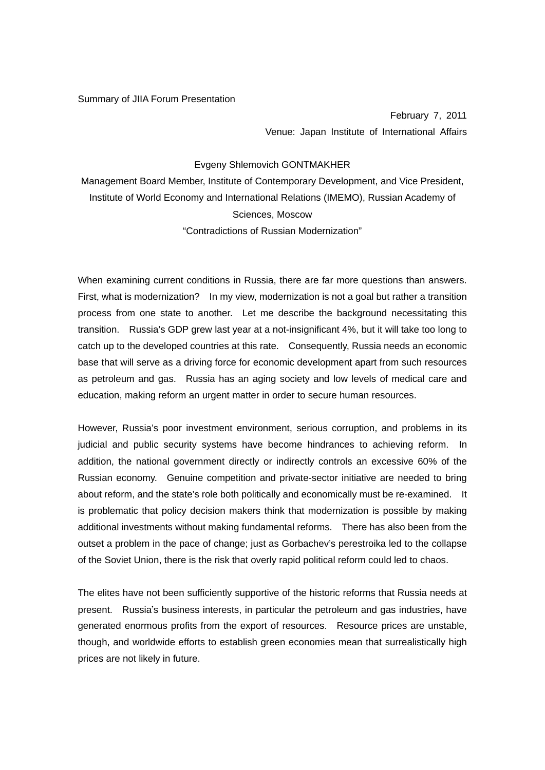## Summary of JIIA Forum Presentation

February 7, 2011 Venue: Japan Institute of International Affairs

## Evgeny Shlemovich GONTMAKHER

Management Board Member, Institute of Contemporary Development, and Vice President, Institute of World Economy and International Relations (IMEMO), Russian Academy of Sciences, Moscow "Contradictions of Russian Modernization"

When examining current conditions in Russia, there are far more questions than answers. First, what is modernization? In my view, modernization is not a goal but rather a transition process from one state to another. Let me describe the background necessitating this transition. Russia's GDP grew last year at a not-insignificant 4%, but it will take too long to catch up to the developed countries at this rate. Consequently, Russia needs an economic base that will serve as a driving force for economic development apart from such resources as petroleum and gas. Russia has an aging society and low levels of medical care and education, making reform an urgent matter in order to secure human resources.

However, Russia's poor investment environment, serious corruption, and problems in its judicial and public security systems have become hindrances to achieving reform. In addition, the national government directly or indirectly controls an excessive 60% of the Russian economy. Genuine competition and private-sector initiative are needed to bring about reform, and the state's role both politically and economically must be re-examined. It is problematic that policy decision makers think that modernization is possible by making additional investments without making fundamental reforms. There has also been from the outset a problem in the pace of change; just as Gorbachev's perestroika led to the collapse of the Soviet Union, there is the risk that overly rapid political reform could led to chaos.

The elites have not been sufficiently supportive of the historic reforms that Russia needs at present. Russia's business interests, in particular the petroleum and gas industries, have generated enormous profits from the export of resources. Resource prices are unstable, though, and worldwide efforts to establish green economies mean that surrealistically high prices are not likely in future.